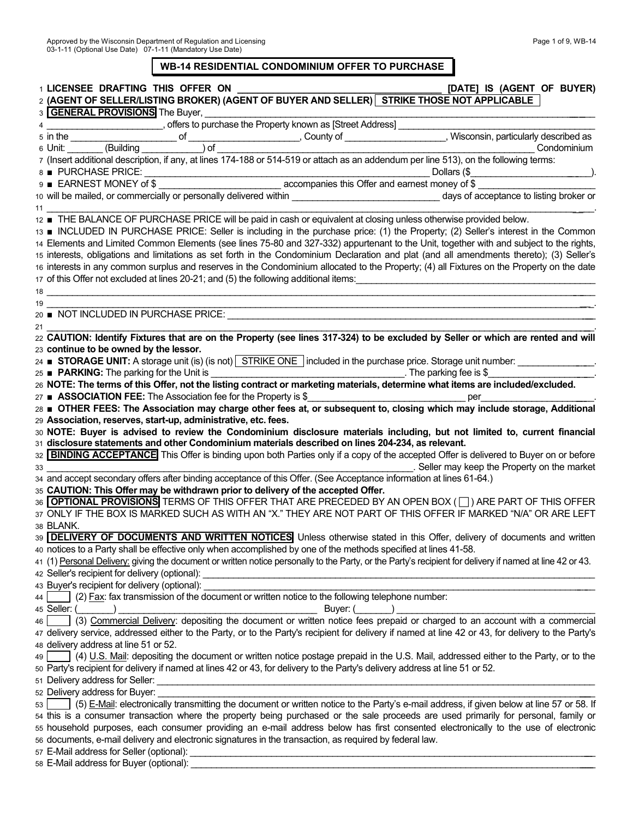# **WB-14 RESIDENTIAL CONDOMINIUM OFFER TO PURCHASE**

|    | 1 LICENSEE DRAFTING THIS OFFER ON<br>[DATE] IS (AGENT OF BUYER)                                                                                                                                                                                |  |
|----|------------------------------------------------------------------------------------------------------------------------------------------------------------------------------------------------------------------------------------------------|--|
|    | 2 (AGENT OF SELLER/LISTING BROKER) (AGENT OF BUYER AND SELLER) STRIKE THOSE NOT APPLICABLE                                                                                                                                                     |  |
|    | 3 <b>GENERAL PROVISIONS</b> The Buyer,                                                                                                                                                                                                         |  |
|    | 4 September 2014 offers to purchase the Property known as [Street Address]                                                                                                                                                                     |  |
|    | 6 in the oriental control of the country of the country of the country of the country of the country of the Unit: (Building the oriental control of a particularly described as<br>7 (Insert additional description, if any, at                |  |
|    |                                                                                                                                                                                                                                                |  |
|    |                                                                                                                                                                                                                                                |  |
|    |                                                                                                                                                                                                                                                |  |
|    |                                                                                                                                                                                                                                                |  |
|    |                                                                                                                                                                                                                                                |  |
| 11 |                                                                                                                                                                                                                                                |  |
|    | 12 THE BALANCE OF PURCHASE PRICE will be paid in cash or equivalent at closing unless otherwise provided below.                                                                                                                                |  |
|    | 13 TINCLUDED IN PURCHASE PRICE: Seller is including in the purchase price: (1) the Property; (2) Seller's interest in the Common                                                                                                               |  |
|    | 14 Elements and Limited Common Elements (see lines 75-80 and 327-332) appurtenant to the Unit, together with and subject to the rights,                                                                                                        |  |
|    | 15 interests, obligations and limitations as set forth in the Condominium Declaration and plat (and all amendments thereto); (3) Seller's                                                                                                      |  |
|    | 16 interests in any common surplus and reserves in the Condominium allocated to the Property; (4) all Fixtures on the Property on the date                                                                                                     |  |
|    | 17 of this Offer not excluded at lines 20-21; and (5) the following additional items:                                                                                                                                                          |  |
|    |                                                                                                                                                                                                                                                |  |
| 19 |                                                                                                                                                                                                                                                |  |
|    |                                                                                                                                                                                                                                                |  |
| 21 |                                                                                                                                                                                                                                                |  |
|    | 22 CAUTION: Identify Fixtures that are on the Property (see lines 317-324) to be excluded by Seller or which are rented and will                                                                                                               |  |
|    | 23 continue to be owned by the lessor.                                                                                                                                                                                                         |  |
|    | 24 ■ STORAGE UNIT: A storage unit (is) (is not) STRIKE ONE included in the purchase price. Storage unit number:                                                                                                                                |  |
|    |                                                                                                                                                                                                                                                |  |
|    | 26 NOTE: The terms of this Offer, not the listing contract or marketing materials, determine what items are included/excluded.                                                                                                                 |  |
|    | 27 ■ ASSOCIATION FEE: The Association fee for the Property is \$<br><u>per</u><br>28 OTHER FEES: The Association may charge other fees at, or subsequent to, closing which may include storage, Additional                                     |  |
|    | 29 Association, reserves, start-up, administrative, etc. fees.                                                                                                                                                                                 |  |
|    | 30 NOTE: Buyer is advised to review the Condominium disclosure materials including, but not limited to, current financial                                                                                                                      |  |
|    | 31 disclosure statements and other Condominium materials described on lines 204-234, as relevant.                                                                                                                                              |  |
|    | 32 <b>BINDING ACCEPTANCE</b> This Offer is binding upon both Parties only if a copy of the accepted Offer is delivered to Buyer on or before                                                                                                   |  |
|    |                                                                                                                                                                                                                                                |  |
|    |                                                                                                                                                                                                                                                |  |
|    | 35 CAUTION: This Offer may be withdrawn prior to delivery of the accepted Offer.                                                                                                                                                               |  |
|    | 36 OPTIONAL PROVISIONS TERMS OF THIS OFFER THAT ARE PRECEDED BY AN OPEN BOX (I) ARE PART OF THIS OFFER                                                                                                                                         |  |
|    | 37 ONLY IF THE BOX IS MARKED SUCH AS WITH AN "X." THEY ARE NOT PART OF THIS OFFER IF MARKED "N/A" OR ARE LEFT                                                                                                                                  |  |
|    | 38 BLANK.                                                                                                                                                                                                                                      |  |
|    | 39 <b>DELIVERY OF DOCUMENTS AND WRITTEN NOTICES</b> Unless otherwise stated in this Offer, delivery of documents and written                                                                                                                   |  |
|    | 40 notices to a Party shall be effective only when accomplished by one of the methods specified at lines 41-58.                                                                                                                                |  |
|    | 41 (1) Personal Delivery: giving the document or written notice personally to the Party, or the Party's recipient for delivery if named at line 42 or 43.                                                                                      |  |
|    | 42 Seller's recipient for delivery (optional):                                                                                                                                                                                                 |  |
|    | 43 Buyer's recipient for delivery (optional):                                                                                                                                                                                                  |  |
| 44 | (2) Fax: fax transmission of the document or written notice to the following telephone number:                                                                                                                                                 |  |
|    | 45 Seller: (<br>(3) Commercial Delivery: depositing the document or written notice fees prepaid or charged to an account with a commercial (3) Commercial Delivery: depositing the document or written notice fees prepaid or charged to an ac |  |
| 46 |                                                                                                                                                                                                                                                |  |
|    | 47 delivery service, addressed either to the Party, or to the Party's recipient for delivery if named at line 42 or 43, for delivery to the Party's                                                                                            |  |
|    | 48 delivery address at line 51 or 52.                                                                                                                                                                                                          |  |
| 49 | (4) U.S. Mail: depositing the document or written notice postage prepaid in the U.S. Mail, addressed either to the Party, or to the                                                                                                            |  |
|    | 50 Party's recipient for delivery if named at lines 42 or 43, for delivery to the Party's delivery address at line 51 or 52.                                                                                                                   |  |
|    |                                                                                                                                                                                                                                                |  |
|    | 52 Delivery address for Buyer:<br>53 [67] (5) E-Mail: electronically transmitting the document or written notice to the Party's e-mail address, if given below at line 57 or 58. If                                                            |  |
|    |                                                                                                                                                                                                                                                |  |
|    | 54 this is a consumer transaction where the property being purchased or the sale proceeds are used primarily for personal, family or                                                                                                           |  |
|    | 55 household purposes, each consumer providing an e-mail address below has first consented electronically to the use of electronic<br>56 documents, e-mail delivery and electronic signatures in the transaction, as required by federal law.  |  |
|    |                                                                                                                                                                                                                                                |  |
|    |                                                                                                                                                                                                                                                |  |
|    |                                                                                                                                                                                                                                                |  |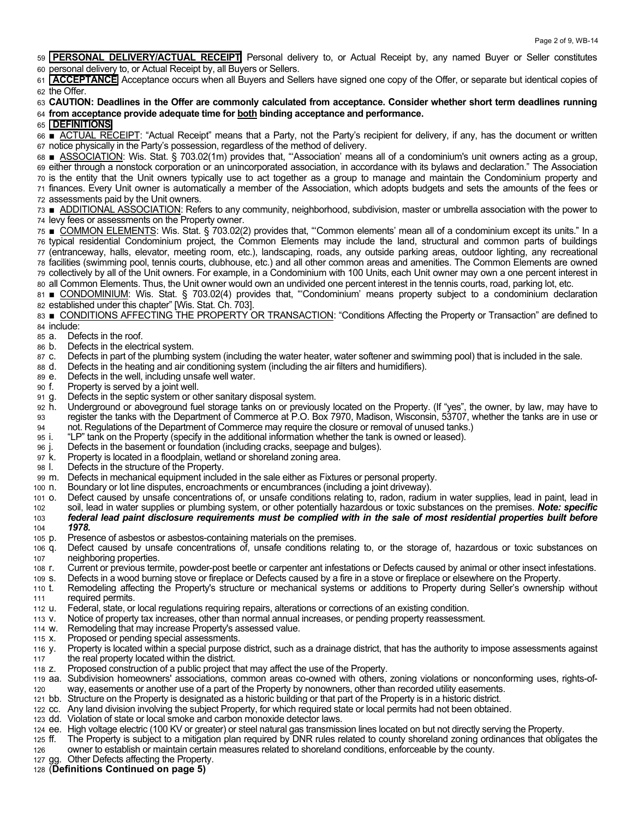59 **PERSONAL DELIVERY/ACTUAL RECEIPT** Personal delivery to, or Actual Receipt by, any named Buyer or Seller constitutes 60 personal delivery to, or Actual Receipt by, all Buyers or Sellers.

61 **ACCEPTANCE** Acceptance occurs when all Buyers and Sellers have signed one copy of the Offer, or separate but identical copies of 62 the Offer.

#### 63 **CAUTION: Deadlines in the Offer are commonly calculated from acceptance. Consider whether short term deadlines running**  64 **from acceptance provide adequate time for both binding acceptance and performance.**

## 65 **DEFINITIONS**

66 **ACTUAL RECEIPT**: "Actual Receipt" means that a Party, not the Party's recipient for delivery, if any, has the document or written 67 notice physically in the Party's possession, regardless of the method of delivery.

68 **ASSOCIATION:** Wis. Stat. § 703.02(1m) provides that, "Association' means all of a condominium's unit owners acting as a group, 69 either through a nonstock corporation or an unincorporated association, in accordance with its bylaws and declaration." The Association 70 is the entity that the Unit owners typically use to act together as a group to manage and maintain the Condominium property and 71 finances. Every Unit owner is automatically a member of the Association, which adopts budgets and sets the amounts of the fees or 72 assessments paid by the Unit owners.

73 ■ ADDITIONAL ASSOCIATION: Refers to any community, neighborhood, subdivision, master or umbrella association with the power to 74 levy fees or assessments on the Property owner.

75 **■ COMMON ELEMENTS:** Wis. Stat. § 703.02(2) provides that, "Common elements' mean all of a condominium except its units." In a 76 typical residential Condominium project, the Common Elements may include the land, structural and common parts of buildings 77 (entranceway, halls, elevator, meeting room, etc.), landscaping, roads, any outside parking areas, outdoor lighting, any recreational 78 facilities (swimming pool, tennis courts, clubhouse, etc.) and all other common areas and amenities. The Common Elements are owned 79 collectively by all of the Unit owners. For example, in a Condominium with 100 Units, each Unit owner may own a one percent interest in 80 all Common Elements. Thus, the Unit owner would own an undivided one percent interest in the tennis courts, road, parking lot, etc.

81 **CONDOMINIUM**: Wis. Stat. § 703.02(4) provides that, "Condominium' means property subject to a condominium declaration 82 established under this chapter" [Wis. Stat. Ch. 703].

83 **•** CONDITIONS AFFECTING THE PROPERTY OR TRANSACTION: "Conditions Affecting the Property or Transaction" are defined to 84 include:

- 85 a. Defects in the roof.
- 86 b. Defects in the electrical system.
- 87 c. Defects in part of the plumbing system (including the water heater, water softener and swimming pool) that is included in the sale.
- 88 d. Defects in the heating and air conditioning system (including the air filters and humidifiers).
- 89 e. Defects in the well, including unsafe well water.
- 90 f. Property is served by a joint well.
- 91 g. Defects in the septic system or other sanitary disposal system.
- 92 h. Underground or aboveground fuel storage tanks on or previously located on the Property. (If "yes", the owner, by law, may have to 93 register the tanks with the Department of Commerce at P.O. Box 7970, Madison, Wisconsin, 53707, whether the tanks are in use or 94 not. Regulations of the Department of Commerce may require the closure or removal of unused tanks.)
- 95 i. "LP" tank on the Property (specify in the additional information whether the tank is owned or leased).
- 96 j. Defects in the basement or foundation (including cracks, seepage and bulges).
- 97 k. Property is located in a floodplain, wetland or shoreland zoning area.
- 98 l. Defects in the structure of the Property.
- 99 m. Defects in mechanical equipment included in the sale either as Fixtures or personal property.
- 100 n. Boundary or lot line disputes, encroachments or encumbrances (including a joint driveway).
- 101 o. Defect caused by unsafe concentrations of, or unsafe conditions relating to, radon, radium in water supplies, lead in paint, lead in 102 soil, lead in water supplies or plumbing system, or other potentially hazardous or toxic substances on the premises. *Note: specific*  103 *federal lead paint disclosure requirements must be complied with in the sale of most residential properties built before*  104 *1978.*
- 105 p. Presence of asbestos or asbestos-containing materials on the premises.
- 106 q. Defect caused by unsafe concentrations of, unsafe conditions relating to, or the storage of, hazardous or toxic substances on 107 neighboring properties.
- 108 r. Current or previous termite, powder-post beetle or carpenter ant infestations or Defects caused by animal or other insect infestations.
- 109 s. Defects in a wood burning stove or fireplace or Defects caused by a fire in a stove or fireplace or elsewhere on the Property.
- 110 t. Remodeling affecting the Property's structure or mechanical systems or additions to Property during Seller's ownership without 111 required permits.
- 112 u. Federal, state, or local regulations requiring repairs, alterations or corrections of an existing condition.
- 113 v. Notice of property tax increases, other than normal annual increases, or pending property reassessment.
- 114 w. Remodeling that may increase Property's assessed value.
- 115 x. Proposed or pending special assessments.
- 116 y. Property is located within a special purpose district, such as a drainage district, that has the authority to impose assessments against 117 the real property located within the district.
- 118 z. Proposed construction of a public project that may affect the use of the Property.
- 119 aa. Subdivision homeowners' associations, common areas co-owned with others, zoning violations or nonconforming uses, rights-of-120 way, easements or another use of a part of the Property by nonowners, other than recorded utility easements.
- 121 bb. Structure on the Property is designated as a historic building or that part of the Property is in a historic district.
- 122 cc. Any land division involving the subject Property, for which required state or local permits had not been obtained.
- 123 dd. Violation of state or local smoke and carbon monoxide detector laws.
- 124 ee. High voltage electric (100 KV or greater) or steel natural gas transmission lines located on but not directly serving the Property.
- 125 ff. The Property is subject to a mitigation plan required by DNR rules related to county shoreland zoning ordinances that obligates the 126 owner to establish or maintain certain measures related to shoreland conditions, enforceable by the county.
- 127 gg. Other Defects affecting the Property.
- 128 (**Definitions Continued on page 5)**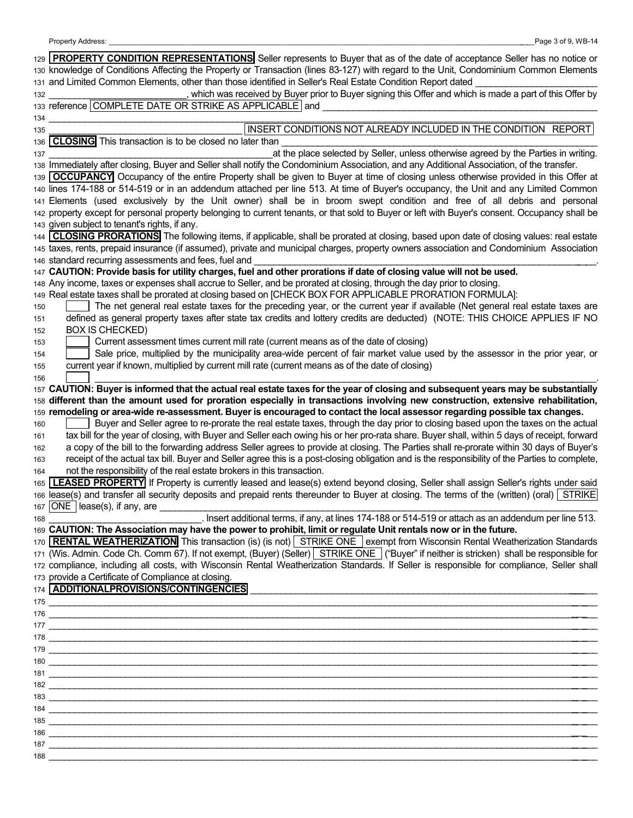|     | 129 <b>PROPERTY CONDITION REPRESENTATIONS</b> Seller represents to Buyer that as of the date of acceptance Seller has no notice or                                                                                         |
|-----|----------------------------------------------------------------------------------------------------------------------------------------------------------------------------------------------------------------------------|
|     | 130 knowledge of Conditions Affecting the Property or Transaction (lines 83-127) with regard to the Unit, Condominium Common Elements                                                                                      |
|     | 131 and Limited Common Elements, other than those identified in Seller's Real Estate Condition Report dated                                                                                                                |
| 132 | , which was received by Buyer prior to Buyer signing this Offer and which is made a part of this Offer by                                                                                                                  |
|     | 133 reference COMPLETE DATE OR STRIKE AS APPLICABLE and                                                                                                                                                                    |
| 134 | INSERT CONDITIONS NOT ALREADY INCLUDED IN THE CONDITION REPORT                                                                                                                                                             |
| 135 | 136 CLOSING This transaction is to be closed no later than                                                                                                                                                                 |
| 137 | at the place selected by Seller, unless otherwise agreed by the Parties in writing.                                                                                                                                        |
|     | 138 Immediately after closing, Buyer and Seller shall notify the Condominium Association, and any Additional Association, of the transfer.                                                                                 |
|     | 139 OCCUPANCY Occupancy of the entire Property shall be given to Buyer at time of closing unless otherwise provided in this Offer at                                                                                       |
|     | 140 lines 174-188 or 514-519 or in an addendum attached per line 513. At time of Buyer's occupancy, the Unit and any Limited Common                                                                                        |
|     | 141 Elements (used exclusively by the Unit owner) shall be in broom swept condition and free of all debris and personal                                                                                                    |
|     | 142 property except for personal property belonging to current tenants, or that sold to Buyer or left with Buyer's consent. Occupancy shall be                                                                             |
|     | 143 given subject to tenant's rights, if any.                                                                                                                                                                              |
|     | 144 CLOSING PRORATIONS The following items, if applicable, shall be prorated at closing, based upon date of closing values: real estate                                                                                    |
|     | 145 taxes, rents, prepaid insurance (if assumed), private and municipal charges, property owners association and Condominium Association                                                                                   |
|     | 146 standard recurring assessments and fees, fuel and<br>147 CAUTION: Provide basis for utility charges, fuel and other prorations if date of closing value will not be used.                                              |
|     | 148 Any income, taxes or expenses shall accrue to Seller, and be prorated at closing, through the day prior to closing.                                                                                                    |
|     | 149 Real estate taxes shall be prorated at closing based on [CHECK BOX FOR APPLICABLE PRORATION FORMULA]:                                                                                                                  |
| 150 | The net general real estate taxes for the preceding year, or the current year if available (Net general real estate taxes are                                                                                              |
| 151 | defined as general property taxes after state tax credits and lottery credits are deducted) (NOTE: THIS CHOICE APPLIES IF NO                                                                                               |
| 152 | <b>BOX IS CHECKED)</b>                                                                                                                                                                                                     |
| 153 | Current assessment times current mill rate (current means as of the date of closing)                                                                                                                                       |
| 154 | Sale price, multiplied by the municipality area-wide percent of fair market value used by the assessor in the prior year, or                                                                                               |
| 155 | current year if known, multiplied by current mill rate (current means as of the date of closing)                                                                                                                           |
| 156 | 157 CAUTION: Buyer is informed that the actual real estate taxes for the year of closing and subsequent years may be substantially                                                                                         |
|     | 158 different than the amount used for proration especially in transactions involving new construction, extensive rehabilitation,                                                                                          |
|     |                                                                                                                                                                                                                            |
|     | 159 remodeling or area-wide re-assessment. Buyer is encouraged to contact the local assessor regarding possible tax changes.                                                                                               |
| 160 | Buyer and Seller agree to re-prorate the real estate taxes, through the day prior to closing based upon the taxes on the actual                                                                                            |
| 161 | tax bill for the year of closing, with Buyer and Seller each owing his or her pro-rata share. Buyer shall, within 5 days of receipt, forward                                                                               |
| 162 | a copy of the bill to the forwarding address Seller agrees to provide at closing. The Parties shall re-prorate within 30 days of Buyer's                                                                                   |
| 163 | receipt of the actual tax bill. Buyer and Seller agree this is a post-closing obligation and is the responsibility of the Parties to complete,                                                                             |
| 164 | not the responsibility of the real estate brokers in this transaction.                                                                                                                                                     |
|     | 165 LEASED PROPERTY If Property is currently leased and lease(s) extend beyond closing, Seller shall assign Seller's rights under said                                                                                     |
|     | 166 lease(s) and transfer all security deposits and prepaid rents thereunder to Buyer at closing. The terms of the (written) (oral) STRIKE                                                                                 |
| 168 | $167$ ONE lease(s), if any, are                                                                                                                                                                                            |
|     | . Insert additional terms, if any, at lines 174-188 or 514-519 or attach as an addendum per line 513.<br>169 CAUTION: The Association may have the power to prohibit, limit or regulate Unit rentals now or in the future. |
|     | 170 <b>RENTAL WEATHERIZATION</b> This transaction (is) (is not) STRIKE ONE exempt from Wisconsin Rental Weatherization Standards                                                                                           |
|     | 171 (Wis. Admin. Code Ch. Comm 67). If not exempt, (Buyer) (Seller) STRIKE ONE ("Buyer" if neither is stricken) shall be responsible for                                                                                   |
|     | 172 compliance, including all costs, with Wisconsin Rental Weatherization Standards. If Seller is responsible for compliance, Seller shall                                                                                 |
|     | 173 provide a Certificate of Compliance at closing.                                                                                                                                                                        |
|     | 174 ADDITIONALPROVISIONS/CONTINGENCIES                                                                                                                                                                                     |
|     | 175                                                                                                                                                                                                                        |
|     |                                                                                                                                                                                                                            |
|     |                                                                                                                                                                                                                            |
|     | 178                                                                                                                                                                                                                        |
|     |                                                                                                                                                                                                                            |
|     |                                                                                                                                                                                                                            |
|     | 182                                                                                                                                                                                                                        |
|     | 183                                                                                                                                                                                                                        |
| 184 |                                                                                                                                                                                                                            |
|     | 185                                                                                                                                                                                                                        |
| 186 | 187                                                                                                                                                                                                                        |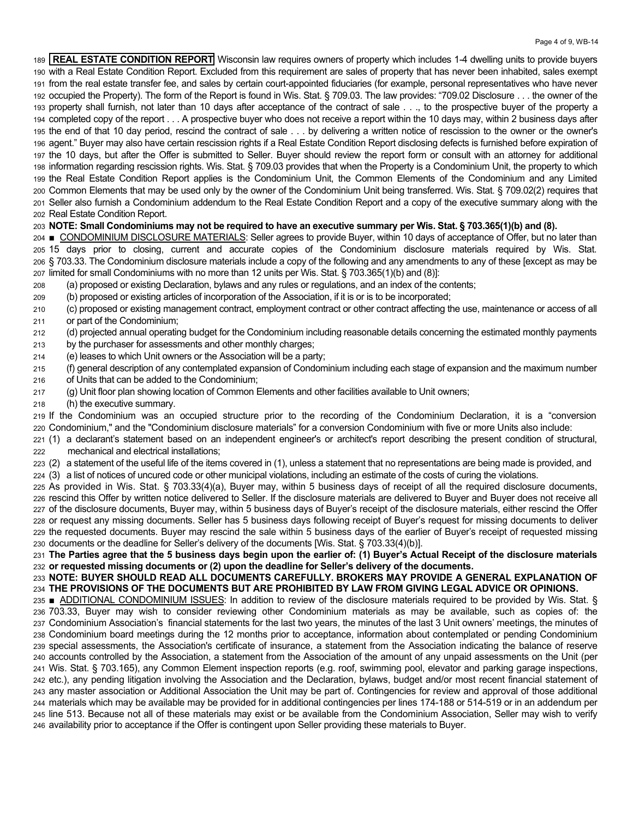189 **REAL ESTATE CONDITION REPORT** Wisconsin law requires owners of property which includes 1-4 dwelling units to provide buyers 190 with a Real Estate Condition Report. Excluded from this requirement are sales of property that has never been inhabited, sales exempt 191 from the real estate transfer fee, and sales by certain court-appointed fiduciaries (for example, personal representatives who have never 192 Occupied the Property). The form of the Report is found in Wis. Stat. § 709.03. The law provides: "709.02 Disclosure . . . the owner of the 193 property shall furnish, not later than 10 days after acceptance of the contract of sale . . ., to the prospective buyer of the property a 194 completed copy of the report . . . A prospective buyer who does not receive a report within the 10 days may, within 2 business days after 195 the end of that 10 day period, rescind the contract of sale . . . by delivering a written notice of rescission to the owner or the owner's 196 agent." Buyer may also have certain rescission rights if a Real Estate Condition Report disclosing defects is furnished before expiration of 197 the 10 days, but after the Offer is submitted to Seller. Buyer should review the report form or consult with an attorney for additional 198 information regarding rescission rights. Wis. Stat. § 709.03 provides that when the Property is a Condominium Unit, the property to which 199 the Real Estate Condition Report applies is the Condominium Unit, the Common Elements of the Condominium and any Limited 200 Common Elements that may be used only by the owner of the Condominium Unit being transferred. Wis. Stat. § 709.02(2) requires that 201 Seller also furnish a Condominium addendum to the Real Estate Condition Report and a copy of the executive summary along with the 202 Real Estate Condition Report.

#### 203 **NOTE: Small Condominiums may not be required to have an executive summary per Wis. Stat. § 703.365(1)(b) and (8).**

204 ■ CONDOMINIUM DISCLOSURE MATERIALS: Seller agrees to provide Buyer, within 10 days of acceptance of Offer, but no later than 205 15 days prior to closing, current and accurate copies of the Condominium disclosure materials required by Wis. Stat. 206 § 703.33. The Condominium disclosure materials include a copy of the following and any amendments to any of these [except as may be 207 limited for small Condominiums with no more than 12 units per Wis. Stat. § 703.365(1)(b) and (8)]:

- 208 (a) proposed or existing Declaration, bylaws and any rules or regulations, and an index of the contents;
- 209 (b) proposed or existing articles of incorporation of the Association, if it is or is to be incorporated;

210 (c) proposed or existing management contract, employment contract or other contract affecting the use, maintenance or access of all 211 or part of the Condominium;

- 212 (d) projected annual operating budget for the Condominium including reasonable details concerning the estimated monthly payments
- 213 by the purchaser for assessments and other monthly charges;
- 214 (e) leases to which Unit owners or the Association will be a party;
- 215 (f) general description of any contemplated expansion of Condominium including each stage of expansion and the maximum number 216 of Units that can be added to the Condominium;
- 217 (g) Unit floor plan showing location of Common Elements and other facilities available to Unit owners;
- 218 (h) the executive summary.

219 If the Condominium was an occupied structure prior to the recording of the Condominium Declaration, it is a "conversion 220 Condominium," and the "Condominium disclosure materials" for a conversion Condominium with five or more Units also include:

221 (1) a declarant's statement based on an independent engineer's or architect's report describing the present condition of structural, 222 mechanical and electrical installations;

223 (2) a statement of the useful life of the items covered in (1), unless a statement that no representations are being made is provided, and 224 (3) a list of notices of uncured code or other municipal violations, including an estimate of the costs of curing the violations.

225 As provided in Wis. Stat. § 703.33(4)(a), Buyer may, within 5 business days of receipt of all the required disclosure documents, 226 rescind this Offer by written notice delivered to Seller. If the disclosure materials are delivered to Buyer and Buyer does not receive all 227 of the disclosure documents, Buyer may, within 5 business days of Buyer's receipt of the disclosure materials, either rescind the Offer 228 or request any missing documents. Seller has 5 business days following receipt of Buyer's request for missing documents to deliver 229 the requested documents. Buyer may rescind the sale within 5 business days of the earlier of Buyer's receipt of requested missing 230 documents or the deadline for Seller's delivery of the documents [Wis. Stat. § 703.33(4)(b)].

231 The Parties agree that the 5 business days begin upon the earlier of: (1) Buyer's Actual Receipt of the disclosure materials 232 or requested missing documents or (2) upon the deadline for Seller's delivery of the documents.

233 **NOTE: BUYER SHOULD READ ALL DOCUMENTS CAREFULLY. BROKERS MAY PROVIDE A GENERAL EXPLANATION OF**  234 **THE PROVISIONS OF THE DOCUMENTS BUT ARE PROHIBITED BY LAW FROM GIVING LEGAL ADVICE OR OPINIONS.** 

235 ■ ADDITIONAL CONDOMINIUM ISSUES: In addition to review of the disclosure materials required to be provided by Wis. Stat. § 236 703.33, Buyer may wish to consider reviewing other Condominium materials as may be available, such as copies of: the 237 Condominium Association's financial statements for the last two years, the minutes of the last 3 Unit owners' meetings, the minutes of 238 Condominium board meetings during the 12 months prior to acceptance, information about contemplated or pending Condominium 239 special assessments, the Association's certificate of insurance, a statement from the Association indicating the balance of reserve 240 accounts controlled by the Association, a statement from the Association of the amount of any unpaid assessments on the Unit (per 241 Wis. Stat. § 703.165), any Common Element inspection reports (e.g. roof, swimming pool, elevator and parking garage inspections, 242 etc.), any pending litigation involving the Association and the Declaration, bylaws, budget and/or most recent financial statement of 243 any master association or Additional Association the Unit may be part of. Contingencies for review and approval of those additional 244 materials which may be available may be provided for in additional contingencies per lines 174-188 or 514-519 or in an addendum per 245 line 513. Because not all of these materials may exist or be available from the Condominium Association, Seller may wish to verify 246 availability prior to acceptance if the Offer is contingent upon Seller providing these materials to Buyer.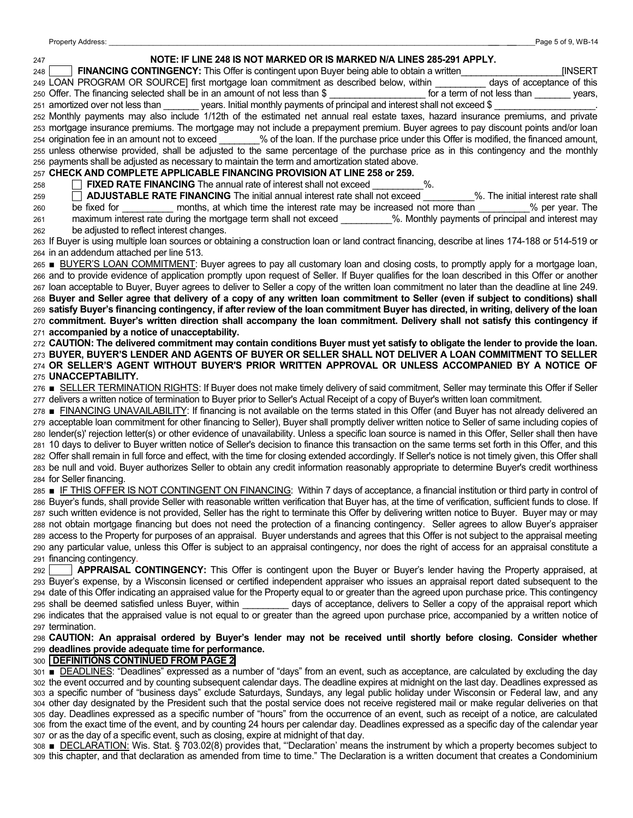### 247 **NOTE: IF LINE 248 IS NOT MARKED OR IS MARKED N/A LINES 285-291 APPLY.**  248 **FINANCING CONTINGENCY:** This Offer is contingent upon Buyer being able to obtain a written\_\_\_\_\_\_\_\_\_\_\_\_\_\_\_\_\_\_\_\_[INSERT 249 LOAN PROGRAM OR SOURCE] first mortgage loan commitment as described below, within days of acceptance of this 250 Offer. The financing selected shall be in an amount of not less than \$ The statem of not less than years, 251 amortized over not less than \_\_\_\_\_\_\_\_ years. Initial monthly payments of principal and interest shall not exceed \$ 252 Monthly payments may also include 1/12th of the estimated net annual real estate taxes, hazard insurance premiums, and private 253 mortgage insurance premiums. The mortgage may not include a prepayment premium. Buyer agrees to pay discount points and/or loan 254 origination fee in an amount not to exceed \_\_\_\_\_\_\_\_% of the loan. If the purchase price under this Offer is modified, the financed amount, 255 unless otherwise provided, shall be adjusted to the same percentage of the purchase price as in this contingency and the monthly 256 payments shall be adjusted as necessary to maintain the term and amortization stated above. 257 **CHECK AND COMPLETE APPLICABLE FINANCING PROVISION AT LINE 258 or 259.**  258 **FIXED RATE FINANCING** The annual rate of interest shall not exceed 259 **F ADJUSTABLE RATE FINANCING** The initial annual interest rate shall not exceed %. The initial interest rate shall 260 be fixed for \_\_\_\_\_\_\_\_\_\_ months, at which time the interest rate may be increased not more than \_\_\_\_\_\_\_\_\_\_% per year. The 261 maximum interest rate during the mortgage term shall not exceed \_\_\_\_\_\_\_\_\_\_%. Monthly payments of principal and interest may 262 be adjusted to reflect interest changes. 263 If Buyer is using multiple loan sources or obtaining a construction loan or land contract financing, describe at lines 174-188 or 514-519 or 264 in an addendum attached per line 513. 265 **■** BUYER'S LOAN COMMITMENT: Buyer agrees to pay all customary loan and closing costs, to promptly apply for a mortgage loan, 266 and to provide evidence of application promptly upon request of Seller. If Buyer qualifies for the loan described in this Offer or another 267 loan acceptable to Buyer, Buyer agrees to deliver to Seller a copy of the written loan commitment no later than the deadline at line 249. 268 **Buyer and Seller agree that delivery of a copy of any written loan commitment to Seller (even if subject to conditions) shall**  269 satisfy Buyer's financing contingency, if after review of the loan commitment Buyer has directed, in writing, delivery of the loan 270 commitment. Buyer's written direction shall accompany the loan commitment. Delivery shall not satisfy this contingency if 271 **accompanied by a notice of unacceptability.**  272 **CAUTION: The delivered commitment may contain conditions Buyer must yet satisfy to obligate the lender to provide the loan.** 273 BUYER, BUYER'S LENDER AND AGENTS OF BUYER OR SELLER SHALL NOT DELIVER A LOAN COMMITMENT TO SELLER 274 OR SELLER'S AGENT WITHOUT BUYER'S PRIOR WRITTEN APPROVAL OR UNLESS ACCOMPANIED BY A NOTICE OF 275 **UNACCEPTABILITY.** 276 **■** SELLER TERMINATION RIGHTS: If Buyer does not make timely delivery of said commitment, Seller may terminate this Offer if Seller 277 delivers a written notice of termination to Buyer prior to Seller's Actual Receipt of a copy of Buyer's written loan commitment. 278 **■** FINANCING UNAVAILABILITY: If financing is not available on the terms stated in this Offer (and Buyer has not already delivered an 279 acceptable loan commitment for other financing to Seller), Buyer shall promptly deliver written notice to Seller of same including copies of 280 lender(s)' rejection letter(s) or other evidence of unavailability. Unless a specific loan source is named in this Offer, Seller shall then have 281 10 days to deliver to Buyer written notice of Seller's decision to finance this transaction on the same terms set forth in this Offer, and this 282 Offer shall remain in full force and effect, with the time for closing extended accordingly. If Seller's notice is not timely given, this Offer shall 283 be null and void. Buyer authorizes Seller to obtain any credit information reasonably appropriate to determine Buyer's credit worthiness 284 for Seller financing. 285 **■** IF THIS OFFER IS NOT CONTINGENT ON FINANCING: Within 7 days of acceptance, a financial institution or third party in control of 286 Buver's funds, shall provide Seller with reasonable written verification that Buver has, at the time of verification, sufficient funds to close. If 287 such written evidence is not provided, Seller has the right to terminate this Offer by delivering written notice to Buyer. Buyer may or may 288 not obtain mortgage financing but does not need the protection of a financing contingency. Seller agrees to allow Buyer's appraiser 289 access to the Property for purposes of an appraisal. Buyer understands and agrees that this Offer is not subject to the appraisal meeting 290 any particular value, unless this Offer is subject to an appraisal contingency, nor does the right of access for an appraisal constitute a 291 financing contingency. 292 **APPRAISAL CONTINGENCY:** This Offer is contingent upon the Buver or Buver's lender having the Property appraised, at 293 Buyer's expense, by a Wisconsin licensed or certified independent appraiser who issues an appraisal report dated subsequent to the 294 date of this Offer indicating an appraised value for the Property equal to or greater than the agreed upon purchase price. This contingency 295 shall be deemed satisfied unless Buyer, within \_\_\_\_\_\_\_\_\_ days of acceptance, delivers to Seller a copy of the appraisal report which 296 indicates that the appraised value is not equal to or greater than the agreed upon purchase price, accompanied by a written notice of 297 termination. 298 **CAUTION:** An appraisal ordered by Buyer's lender may not be received until shortly before closing. Consider whether 299 **deadlines provide adequate time for performance.**  300 **DEFINITIONS CONTINUED FROM PAGE 2**  301 **■ DEADLINES: "Deadlines" expressed as a number of "days" from an event, such as acceptance, are calculated by excluding the day** 302 the event occurred and by counting subsequent calendar days. The deadline expires at midnight on the last day. Deadlines expressed as 303 a specific number of "business days" exclude Saturdays, Sundays, any legal public holiday under Wisconsin or Federal law, and any

304 other day designated by the President such that the postal service does not receive registered mail or make regular deliveries on that 305 day. Deadlines expressed as a specific number of "hours" from the occurrence of an event, such as receipt of a notice, are calculated 306 from the exact time of the event, and by counting 24 hours per calendar day. Deadlines expressed as a specific day of the calendar year 307 or as the day of a specific event, such as closing, expire at midnight of that day.

308 **■** DECLARATION: Wis. Stat. § 703.02(8) provides that, "Declaration' means the instrument by which a property becomes subject to 309 this chapter, and that declaration as amended from time to time." The Declaration is a written document that creates a Condominium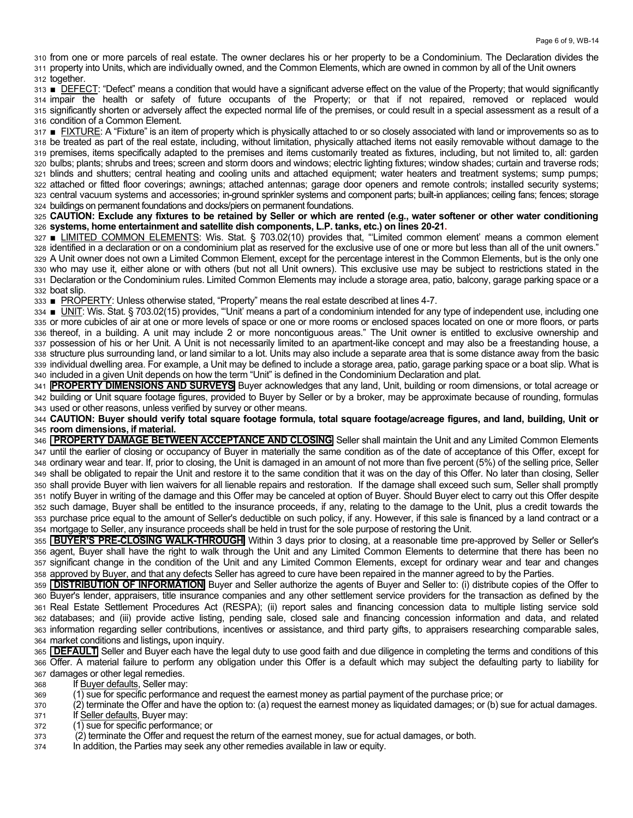310 from one or more parcels of real estate. The owner declares his or her property to be a Condominium. The Declaration divides the 311 property into Units, which are individually owned, and the Common Elements, which are owned in common by all of the Unit owners 312 together.

313 **■** DEFECT: "Defect" means a condition that would have a significant adverse effect on the value of the Property; that would significantly 314 impair the health or safety of future occupants of the Property; or that if not repaired, removed or replaced would 315 significantly shorten or adversely affect the expected normal life of the premises, or could result in a special assessment as a result of a 316 condition of a Common Element.

317 **■** FIXTURE: A "Fixture" is an item of property which is physically attached to or so closely associated with land or improvements so as to 318 be treated as part of the real estate, including, without limitation, physically attached items not easily removable without damage to the 319 premises, items specifically adapted to the premises and items customarily treated as fixtures, including, but not limited to, all: garden 320 bulbs; plants; shrubs and trees; screen and storm doors and windows; electric lighting fixtures; window shades; curtain and traverse rods; 321 blinds and shutters; central heating and cooling units and attached equipment; water heaters and treatment systems; sump pumps; 322 attached or fitted floor coverings; awnings; attached antennas; garage door openers and remote controls; installed security systems; 323 central vacuum systems and accessories; in-ground sprinkler systems and component parts; built-in appliances; ceiling fans; fences; storage 324 buildings on permanent foundations and docks/piers on permanent foundations.

325 **CAUTION: Exclude any fixtures to be retained by Seller or which are rented (e.g., water softener or other water conditioning**  326 **systems, home entertainment and satellite dish components, L.P. tanks, etc.) on lines 20-21.** 

327 **■** LIMITED COMMON ELEMENTS: Wis. Stat. § 703.02(10) provides that, "Limited common element' means a common element 328 identified in a declaration or on a condominium plat as reserved for the exclusive use of one or more but less than all of the unit owners." 329 A Unit owner does not own a Limited Common Element, except for the percentage interest in the Common Elements, but is the only one 330 who may use it, either alone or with others (but not all Unit owners). This exclusive use may be subject to restrictions stated in the 331 Declaration or the Condominium rules. Limited Common Elements may include a storage area, patio, balcony, garage parking space or a 332 boat slip.

333 **■ PROPERTY:** Unless otherwise stated, "Property" means the real estate described at lines 4-7.

334 **■** UNIT: Wis. Stat. § 703.02(15) provides, "Unit' means a part of a condominium intended for any type of independent use, including one 335 or more cubicles of air at one or more levels of space or one or more rooms or enclosed spaces located on one or more floors, or parts 336 thereof, in a building. A unit may include 2 or more noncontiguous areas." The Unit owner is entitled to exclusive ownership and 337 possession of his or her Unit. A Unit is not necessarily limited to an apartment-like concept and may also be a freestanding house, a 338 structure plus surrounding land, or land similar to a lot. Units may also include a separate area that is some distance away from the basic 339 individual dwelling area. For example, a Unit may be defined to include a storage area, patio, garage parking space or a boat slip. What is 340 included in a given Unit depends on how the term "Unit" is defined in the Condominium Declaration and plat.

341 **PROPERTY DIMENSIONS AND SURVEYS** Buyer acknowledges that any land, Unit, building or room dimensions, or total acreage or 342 building or Unit square footage figures, provided to Buyer by Seller or by a broker, may be approximate because of rounding, formulas 343 used or other reasons, unless verified by survey or other means.

344 **CAUTION: Buyer should verify total square footage formula, total square footage/acreage figures, and land, building, Unit or**  345 **room dimensions, if material.** 

346 **PROPERTY DAMAGE BETWEEN ACCEPTANCE AND CLOSING** Seller shall maintain the Unit and any Limited Common Elements 347 until the earlier of closing or occupancy of Buyer in materially the same condition as of the date of acceptance of this Offer, except for 348 ordinary wear and tear. If, prior to closing, the Unit is damaged in an amount of not more than five percent (5%) of the selling price, Seller 349 shall be obligated to repair the Unit and restore it to the same condition that it was on the day of this Offer. No later than closing, Seller 350 shall provide Buyer with lien waivers for all lienable repairs and restoration. If the damage shall exceed such sum, Seller shall promptly 351 notify Buyer in writing of the damage and this Offer may be canceled at option of Buyer. Should Buyer elect to carry out this Offer despite 352 such damage, Buyer shall be entitled to the insurance proceeds, if any, relating to the damage to the Unit, plus a credit towards the 353 purchase price equal to the amount of Seller's deductible on such policy, if any. However, if this sale is financed by a land contract or a 354 mortgage to Seller, any insurance proceeds shall be held in trust for the sole purpose of restoring the Unit.

355 **BUYER'S PRE-CLOSING WALK-THROUGH** Within 3 days prior to closing, at a reasonable time pre-approved by Seller or Seller's 356 agent, Buyer shall have the right to walk through the Unit and any Limited Common Elements to determine that there has been no 357 significant change in the condition of the Unit and any Limited Common Elements, except for ordinary wear and tear and changes 358 approved by Buyer, and that any defects Seller has agreed to cure have been repaired in the manner agreed to by the Parties.

359 **DISTRIBUTION OF INFORMATION** Buyer and Seller authorize the agents of Buyer and Seller to: (i) distribute copies of the Offer to 360 Buyer's lender, appraisers, title insurance companies and any other settlement service providers for the transaction as defined by the 361 Real Estate Settlement Procedures Act (RESPA); (ii) report sales and financing concession data to multiple listing service sold 362 databases; and (iii) provide active listing, pending sale, closed sale and financing concession information and data, and related 363 information regarding seller contributions, incentives or assistance, and third party gifts, to appraisers researching comparable sales, 364 market conditions and listings**,** upon inquiry.

365 **DEFAULT** Seller and Buyer each have the legal duty to use good faith and due diligence in completing the terms and conditions of this 366 Offer. A material failure to perform any obligation under this Offer is a default which may subject the defaulting party to liability for 367 damages or other legal remedies.

- 368 If Buyer defaults, Seller may:
- 369 (1) sue for specific performance and request the earnest money as partial payment of the purchase price; or
- 370 (2) terminate the Offer and have the option to: (a) request the earnest money as liquidated damages; or (b) sue for actual damages. 371 If Seller defaults, Buyer may:
- 372 (1) sue for specific performance; or
- 373 (2) terminate the Offer and request the return of the earnest money, sue for actual damages, or both.
- 374 In addition, the Parties may seek any other remedies available in law or equity.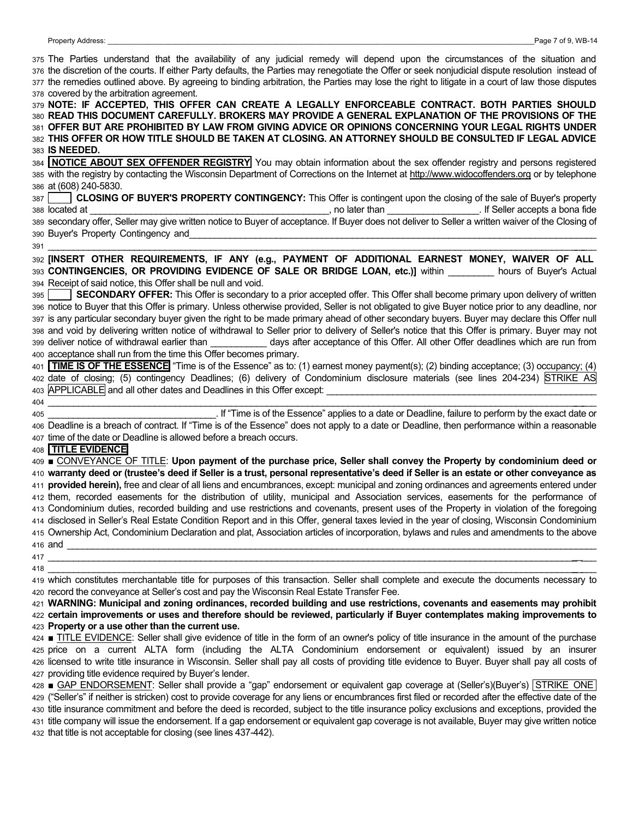|     | 375 The Parties understand that the availability of any judicial remedy will depend upon the circumstances of the situation and<br>376 the discretion of the courts. If either Party defaults, the Parties may renegotiate the Offer or seek nonjudicial dispute resolution instead of<br>377 the remedies outlined above. By agreeing to binding arbitration, the Parties may lose the right to litigate in a court of law those disputes                                                  |
|-----|---------------------------------------------------------------------------------------------------------------------------------------------------------------------------------------------------------------------------------------------------------------------------------------------------------------------------------------------------------------------------------------------------------------------------------------------------------------------------------------------|
|     | 378 covered by the arbitration agreement.<br>379 NOTE: IF ACCEPTED, THIS OFFER CAN CREATE A LEGALLY ENFORCEABLE CONTRACT. BOTH PARTIES SHOULD<br>380 READ THIS DOCUMENT CAREFULLY. BROKERS MAY PROVIDE A GENERAL EXPLANATION OF THE PROVISIONS OF THE<br>381 OFFER BUT ARE PROHIBITED BY LAW FROM GIVING ADVICE OR OPINIONS CONCERNING YOUR LEGAL RIGHTS UNDER<br>382 THIS OFFER OR HOW TITLE SHOULD BE TAKEN AT CLOSING. AN ATTORNEY SHOULD BE CONSULTED IF LEGAL ADVICE<br>383 IS NEEDED. |
|     | 384 <b>NOTICE ABOUT SEX OFFENDER REGISTRY</b> You may obtain information about the sex offender registry and persons registered<br>385 with the registry by contacting the Wisconsin Department of Corrections on the Internet at http://www.widocoffenders.org or by telephone<br>386 at (608) 240-5830.                                                                                                                                                                                   |
|     | 387 CLOSING OF BUYER'S PROPERTY CONTINGENCY: This Offer is contingent upon the closing of the sale of Buyer's property                                                                                                                                                                                                                                                                                                                                                                      |
|     | 390 Buyer's Property Contingency and <b>Community Continues and Continues Act of Act of Act of Act of Act of Act of Act of Act of Act of Act of Act of Act of Act of Act of Act of Act of Act of Act of Act of Act of Act of Act</b><br>391                                                                                                                                                                                                                                                 |
|     | 392 [INSERT OTHER REQUIREMENTS, IF ANY (e.g., PAYMENT OF ADDITIONAL EARNEST MONEY, WAIVER OF ALL                                                                                                                                                                                                                                                                                                                                                                                            |
|     | 393 CONTINGENCIES, OR PROVIDING EVIDENCE OF SALE OR BRIDGE LOAN, etc.)] within hours of Buyer's Actual                                                                                                                                                                                                                                                                                                                                                                                      |
|     | 394 Receipt of said notice, this Offer shall be null and void.                                                                                                                                                                                                                                                                                                                                                                                                                              |
|     | SECONDARY OFFER: This Offer is secondary to a prior accepted offer. This Offer shall become primary upon delivery of written                                                                                                                                                                                                                                                                                                                                                                |
|     | 396 notice to Buyer that this Offer is primary. Unless otherwise provided, Seller is not obligated to give Buyer notice prior to any deadline, nor                                                                                                                                                                                                                                                                                                                                          |
|     | 397 is any particular secondary buyer given the right to be made primary ahead of other secondary buyers. Buyer may declare this Offer null                                                                                                                                                                                                                                                                                                                                                 |
|     | 398 and void by delivering written notice of withdrawal to Seller prior to delivery of Seller's notice that this Offer is primary. Buyer may not                                                                                                                                                                                                                                                                                                                                            |
|     | 399 deliver notice of withdrawal earlier than ____________ days after acceptance of this Offer. All other Offer deadlines which are run from                                                                                                                                                                                                                                                                                                                                                |
|     | 400 acceptance shall run from the time this Offer becomes primary.                                                                                                                                                                                                                                                                                                                                                                                                                          |
|     | 401 TIME IS OF THE ESSENCE "Time is of the Essence" as to: (1) earnest money payment(s); (2) binding acceptance; (3) occupancy; (4)                                                                                                                                                                                                                                                                                                                                                         |
|     | 402 date of closing; (5) contingency Deadlines; (6) delivery of Condominium disclosure materials (see lines 204-234) STRIKE AS                                                                                                                                                                                                                                                                                                                                                              |
|     |                                                                                                                                                                                                                                                                                                                                                                                                                                                                                             |
|     | 104 404 Time is of the Essence" applies to a date or Deadline, failure to perform by the exact date or and then nerform and then nerform and then nerform are within a reasonable                                                                                                                                                                                                                                                                                                           |
|     | 406 Deadline is a breach of contract. If "Time is of the Essence" does not apply to a date or Deadline, then performance within a reasonable                                                                                                                                                                                                                                                                                                                                                |
|     | 407 time of the date or Deadline is allowed before a breach occurs.                                                                                                                                                                                                                                                                                                                                                                                                                         |
|     | 408 TITLE EVIDENCE                                                                                                                                                                                                                                                                                                                                                                                                                                                                          |
|     | 409 <b>■ CONVEYANCE OF TITLE:</b> Upon payment of the purchase price, Seller shall convey the Property by condominium deed or                                                                                                                                                                                                                                                                                                                                                               |
|     | 410 warranty deed or (trustee's deed if Seller is a trust, personal representative's deed if Seller is an estate or other conveyance as                                                                                                                                                                                                                                                                                                                                                     |
|     | 411 provided herein), free and clear of all liens and encumbrances, except: municipal and zoning ordinances and agreements entered under                                                                                                                                                                                                                                                                                                                                                    |
|     | 412 them, recorded easements for the distribution of utility, municipal and Association services, easements for the performance of                                                                                                                                                                                                                                                                                                                                                          |
|     | 413 Condominium duties, recorded building and use restrictions and covenants, present uses of the Property in violation of the foregoing                                                                                                                                                                                                                                                                                                                                                    |
|     | 414 disclosed in Seller's Real Estate Condition Report and in this Offer, general taxes levied in the year of closing, Wisconsin Condominium                                                                                                                                                                                                                                                                                                                                                |
|     | 415 Ownership Act, Condominium Declaration and plat, Association articles of incorporation, bylaws and rules and amendments to the above                                                                                                                                                                                                                                                                                                                                                    |
|     |                                                                                                                                                                                                                                                                                                                                                                                                                                                                                             |
|     |                                                                                                                                                                                                                                                                                                                                                                                                                                                                                             |
| 418 |                                                                                                                                                                                                                                                                                                                                                                                                                                                                                             |
|     | 419 which constitutes merchantable title for purposes of this transaction. Seller shall complete and execute the documents necessary to                                                                                                                                                                                                                                                                                                                                                     |
|     | 420 record the conveyance at Seller's cost and pay the Wisconsin Real Estate Transfer Fee.<br>421 WARNING: Municipal and zoning ordinances, recorded building and use restrictions, covenants and easements may prohibit                                                                                                                                                                                                                                                                    |
|     | 422 certain improvements or uses and therefore should be reviewed, particularly if Buyer contemplates making improvements to                                                                                                                                                                                                                                                                                                                                                                |
|     | 423 Property or a use other than the current use.                                                                                                                                                                                                                                                                                                                                                                                                                                           |
|     | 424 <b>■ TITLE EVIDENCE:</b> Seller shall give evidence of title in the form of an owner's policy of title insurance in the amount of the purchase                                                                                                                                                                                                                                                                                                                                          |
|     | 425 price on a current ALTA form (including the ALTA Condominium endorsement or equivalent) issued by an insurer                                                                                                                                                                                                                                                                                                                                                                            |
|     | 426 licensed to write title insurance in Wisconsin. Seller shall pay all costs of providing title evidence to Buyer. Buyer shall pay all costs of                                                                                                                                                                                                                                                                                                                                           |
|     | 427 providing title evidence required by Buyer's lender.                                                                                                                                                                                                                                                                                                                                                                                                                                    |
|     | 428 GAP ENDORSEMENT: Seller shall provide a "gap" endorsement or equivalent gap coverage at (Seller's)(Buyer's) STRIKE ONE                                                                                                                                                                                                                                                                                                                                                                  |
|     | 429 ("Seller's" if neither is stricken) cost to provide coverage for any liens or encumbrances first filed or recorded after the effective date of the<br>aso title insurance commitment and before the deed is recorded subject to the title insurance policy exclusions and exceptions, provided the                                                                                                                                                                                      |
|     |                                                                                                                                                                                                                                                                                                                                                                                                                                                                                             |

430 title insurance commitment and before the deed is recorded, subject to the title insurance policy exclusions and exceptions, provided the 431 title company will issue the endorsement. If a gap endorsement or equivalent gap coverage is not available, Buyer may give written notice 432 that title is not acceptable for closing (see lines 437-442).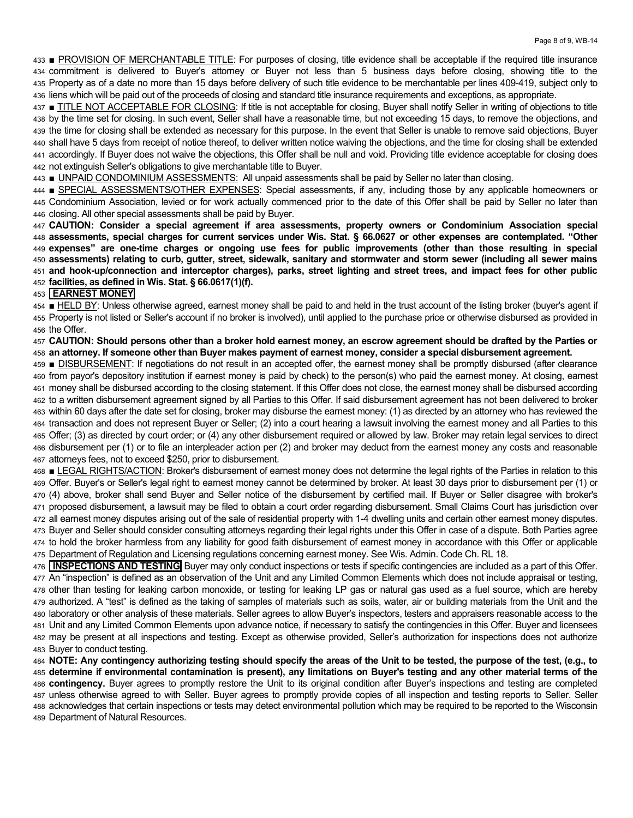433 **PROVISION OF MERCHANTABLE TITLE:** For purposes of closing, title evidence shall be acceptable if the required title insurance 434 commitment is delivered to Buyer's attorney or Buyer not less than 5 business days before closing, showing title to the 435 Property as of a date no more than 15 days before delivery of such title evidence to be merchantable per lines 409-419, subject only to 436 liens which will be paid out of the proceeds of closing and standard title insurance requirements and exceptions, as appropriate.

437 TITLE NOT ACCEPTABLE FOR CLOSING: If title is not acceptable for closing, Buyer shall notify Seller in writing of objections to title 438 by the time set for closing. In such event, Seller shall have a reasonable time, but not exceeding 15 days, to remove the objections, and 439 the time for closing shall be extended as necessary for this purpose. In the event that Seller is unable to remove said objections, Buyer 440 shall have 5 days from receipt of notice thereof, to deliver written notice waiving the objections, and the time for closing shall be extended 441 accordingly. If Buyer does not waive the objections, this Offer shall be null and void. Providing title evidence acceptable for closing does 442 not extinguish Seller's obligations to give merchantable title to Buyer.

443 V UNPAID CONDOMINIUM ASSESSMENTS: All unpaid assessments shall be paid by Seller no later than closing.

444 ■ SPECIAL ASSESSMENTS/OTHER EXPENSES: Special assessments, if any, including those by any applicable homeowners or 445 Condominium Association, levied or for work actually commenced prior to the date of this Offer shall be paid by Seller no later than 446 closing. All other special assessments shall be paid by Buyer.

**CAUTION: Consider a special agreement if area assessments, property owners or Condominium Association special**  448 assessments, special charges for current services under Wis. Stat. § 66.0627 or other expenses are contemplated. "Other 449 expenses" are one-time charges or ongoing use fees for public improvements (other than those resulting in special **assessments) relating to curb, gutter, street, sidewalk, sanitary and stormwater and storm sewer (including all sewer mains and hook-up/connection and interceptor charges), parks, street lighting and street trees, and impact fees for other public facilities, as defined in Wis. Stat. § 66.0617(1)(f).** 

#### 453 **EARNEST MONEY**

454 ■ HELD BY: Unless otherwise agreed, earnest money shall be paid to and held in the trust account of the listing broker (buyer's agent if 455 Property is not listed or Seller's account if no broker is involved), until applied to the purchase price or otherwise disbursed as provided in 456 the Offer.

457 **CAUTION: Should persons other than a broker hold earnest money, an escrow agreement should be drafted by the Parties or**  458 **an attorney. If someone other than Buyer makes payment of earnest money, consider a special disbursement agreement.** 

459 **DISBURSEMENT:** If negotiations do not result in an accepted offer, the earnest money shall be promptly disbursed (after clearance 460 from payor's depository institution if earnest money is paid by check) to the person(s) who paid the earnest money. At closing, earnest 461 money shall be disbursed according to the closing statement. If this Offer does not close, the earnest money shall be disbursed according 462 to a written disbursement agreement signed by all Parties to this Offer. If said disbursement agreement has not been delivered to broker 463 within 60 days after the date set for closing, broker may disburse the earnest money: (1) as directed by an attorney who has reviewed the 464 transaction and does not represent Buyer or Seller; (2) into a court hearing a lawsuit involving the earnest money and all Parties to this 465 Offer; (3) as directed by court order; or (4) any other disbursement required or allowed by law. Broker may retain legal services to direct 466 disbursement per (1) or to file an interpleader action per (2) and broker may deduct from the earnest money any costs and reasonable 467 attorneys fees, not to exceed \$250, prior to disbursement.

468 **ELEGAL RIGHTS/ACTION:** Broker's disbursement of earnest money does not determine the legal rights of the Parties in relation to this 469 Offer. Buyer's or Seller's legal right to earnest money cannot be determined by broker. At least 30 days prior to disbursement per (1) or 470 (4) above, broker shall send Buyer and Seller notice of the disbursement by certified mail. If Buyer or Seller disagree with broker's 471 proposed disbursement, a lawsuit may be filed to obtain a court order regarding disbursement. Small Claims Court has jurisdiction over 472 all earnest money disputes arising out of the sale of residential property with 1-4 dwelling units and certain other earnest money disputes. 473 Buyer and Seller should consider consulting attorneys regarding their legal rights under this Offer in case of a dispute. Both Parties agree 474 to hold the broker harmless from any liability for good faith disbursement of earnest money in accordance with this Offer or applicable 475 Department of Regulation and Licensing regulations concerning earnest money. See Wis. Admin. Code Ch. RL 18.

476 **INSPECTIONS AND TESTING** Buyer may only conduct inspections or tests if specific contingencies are included as a part of this Offer. 477 An "inspection" is defined as an observation of the Unit and any Limited Common Elements which does not include appraisal or testing, 478 other than testing for leaking carbon monoxide, or testing for leaking LP gas or natural gas used as a fuel source, which are hereby 479 authorized. A "test" is defined as the taking of samples of materials such as soils, water, air or building materials from the Unit and the 480 laboratory or other analysis of these materials. Seller agrees to allow Buyer's inspectors, testers and appraisers reasonable access to the 481 Unit and any Limited Common Elements upon advance notice, if necessary to satisfy the contingencies in this Offer. Buyer and licensees 482 may be present at all inspections and testing. Except as otherwise provided, Seller's authorization for inspections does not authorize 483 Buyer to conduct testing.

484 **NOTE: Any contingency authorizing testing should specify the areas of the Unit to be tested, the purpose of the test, (e.g., to**  485 **determine if environmental contamination is present), any limitations on Buyer's testing and any other material terms of the**  486 **contingency.** Buyer agrees to promptly restore the Unit to its original condition after Buyer's inspections and testing are completed 487 unless otherwise agreed to with Seller. Buyer agrees to promptly provide copies of all inspection and testing reports to Seller. Seller 488 acknowledges that certain inspections or tests may detect environmental pollution which may be required to be reported to the Wisconsin 489 Department of Natural Resources.